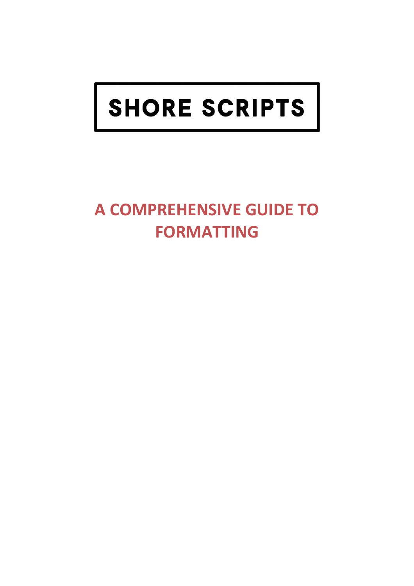# SHORE SCRIPTS

# **A COMPREHENSIVE GUIDE TO FORMATTING**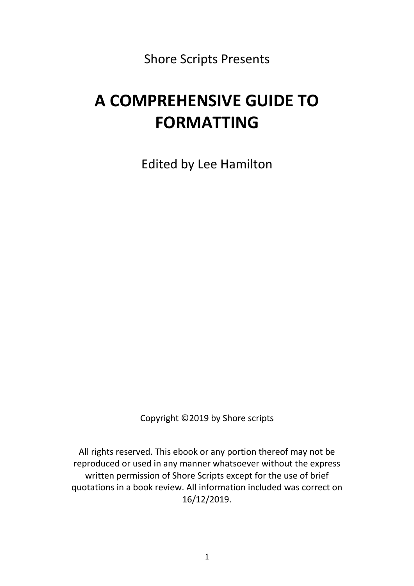Shore Scripts Presents

## **A COMPREHENSIVE GUIDE TO FORMATTING**

Edited by Lee Hamilton

Copyright ©2019 by Shore scripts

All rights reserved. This ebook or any portion thereof may not be reproduced or used in any manner whatsoever without the express written permission of Shore Scripts except for the use of brief quotations in a book review. All information included was correct on 16/12/2019.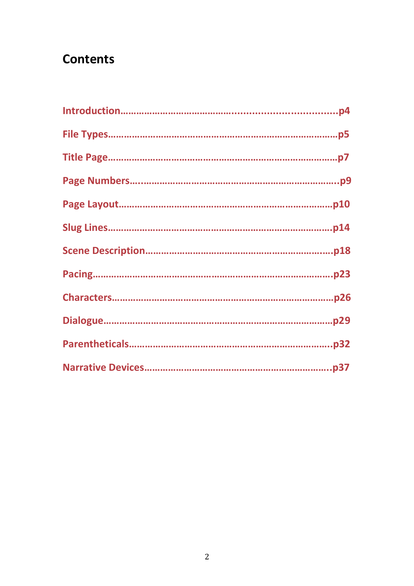### **Contents**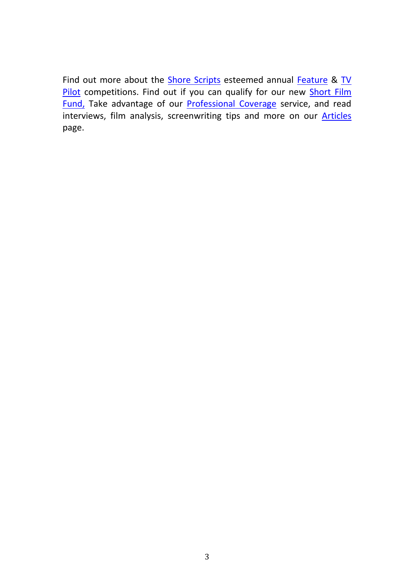Find out more about the **Shore Scripts** esteemed annual [Feature](https://www.shorescripts.com/feature/) & TV [Pilot](https://www.shorescripts.com/tv/) competitions. Find out if you can qualify for our new **Short Film** [Fund,](https://www.shorescripts.com/shortfilmfund/) Take advantage of our [Professional Coverage](https://www.shorescripts.com/script-analysis/) service, and read interviews, film analysis, screenwriting tips and more on our **[Articles](http://www.shorescripts.com/articles/)** page.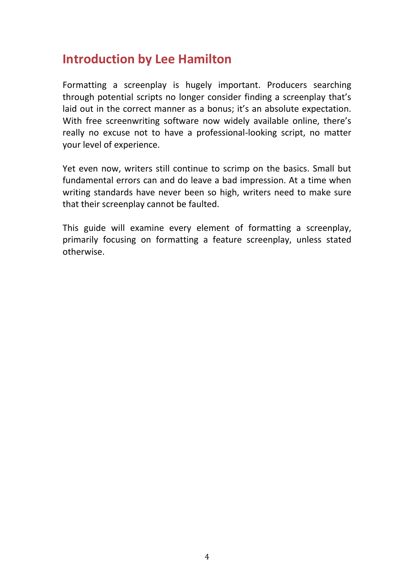### **Introduction by Lee Hamilton**

Formatting a screenplay is hugely important. Producers searching through potential scripts no longer consider finding a screenplay that's laid out in the correct manner as a bonus; it's an absolute expectation. With free screenwriting software now widely available online, there's really no excuse not to have a professional-looking script, no matter your level of experience.

Yet even now, writers still continue to scrimp on the basics. Small but fundamental errors can and do leave a bad impression. At a time when writing standards have never been so high, writers need to make sure that their screenplay cannot be faulted.

This guide will examine every element of formatting a screenplay, primarily focusing on formatting a feature screenplay, unless stated otherwise.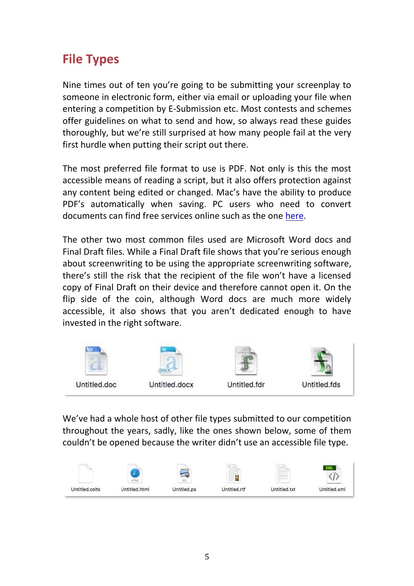### **File Types**

Nine times out of ten you're going to be submitting your screenplay to someone in electronic form, either via email or uploading your file when entering a competition by E-Submission etc. Most contests and schemes offer guidelines on what to send and how, so always read these guides thoroughly, but we're still surprised at how many people fail at the very first hurdle when putting their script out there.

The most preferred file format to use is PDF. Not only is this the most accessible means of reading a script, but it also offers protection against any content being edited or changed. Mac's have the ability to produce PDF's automatically when saving. PC users who need to convert documents can find free services online such as the one [here.](https://www.freepdfconvert.com/)

The other two most common files used are Microsoft Word docs and Final Draft files. While a Final Draft file shows that you're serious enough about screenwriting to be using the appropriate screenwriting software, there's still the risk that the recipient of the file won't have a licensed copy of Final Draft on their device and therefore cannot open it. On the flip side of the coin, although Word docs are much more widely accessible, it also shows that you aren't dedicated enough to have invested in the right software.



We've had a whole host of other file types submitted to our competition throughout the years, sadly, like the ones shown below, some of them couldn't be opened because the writer didn't use an accessible file type.

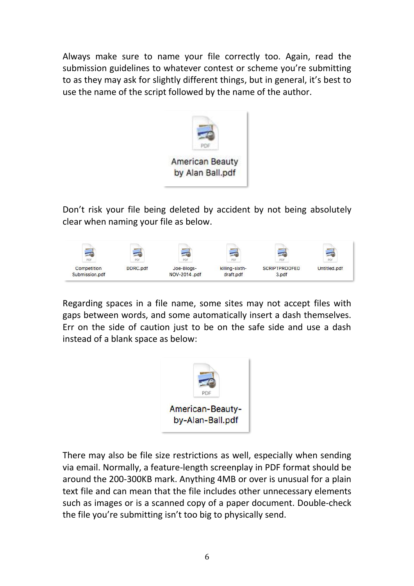Always make sure to name your file correctly too. Again, read the submission guidelines to whatever contest or scheme you're submitting to as they may ask for slightly different things, but in general, it's best to use the name of the script followed by the name of the author.



Don't risk your file being deleted by accident by not being absolutely clear when naming your file as below.



Regarding spaces in a file name, some sites may not accept files with gaps between words, and some automatically insert a dash themselves. Err on the side of caution just to be on the safe side and use a dash instead of a blank space as below:



There may also be file size restrictions as well, especially when sending via email. Normally, a feature-length screenplay in PDF format should be around the 200-300KB mark. Anything 4MB or over is unusual for a plain text file and can mean that the file includes other unnecessary elements such as images or is a scanned copy of a paper document. Double-check the file you're submitting isn't too big to physically send.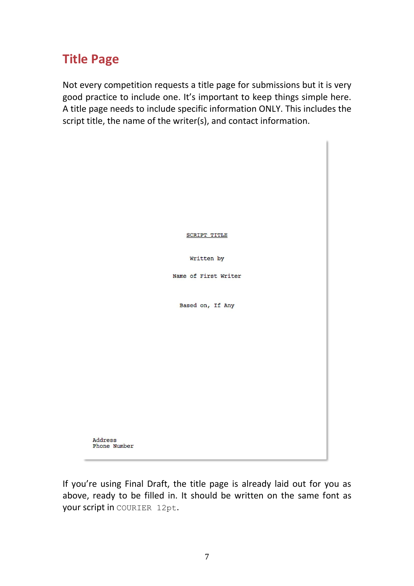### **Title Page**

Not every competition requests a title page for submissions but it is very good practice to include one. It's important to keep things simple here. A title page needs to include specific information ONLY. This includes the script title, the name of the writer(s), and contact information.



If you're using Final Draft, the title page is already laid out for you as above, ready to be filled in. It should be written on the same font as your script in COURIER 12pt.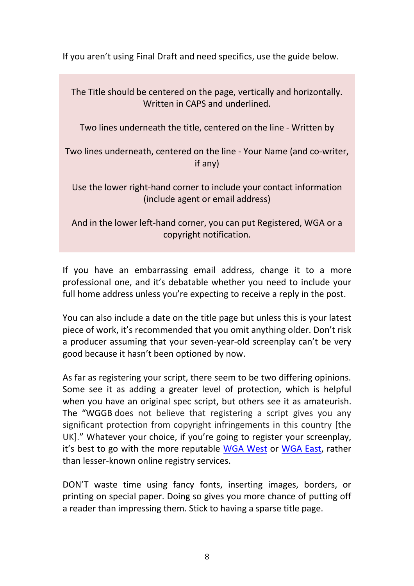If you aren't using Final Draft and need specifics, use the guide below.

The Title should be centered on the page, vertically and horizontally. Written in CAPS and underlined. Two lines underneath the title, centered on the line - Written by Two lines underneath, centered on the line - Your Name (and co-writer, if any) Use the lower right-hand corner to include your contact information (include agent or email address) And in the lower left-hand corner, you can put Registered, WGA or a copyright notification.

If you have an embarrassing email address, change it to a more professional one, and it's debatable whether you need to include your full home address unless you're expecting to receive a reply in the post.

You can also include a date on the title page but unless this is your latest piece of work, it's recommended that you omit anything older. Don't risk a producer assuming that your seven-year-old screenplay can't be very good because it hasn't been optioned by now.

As far as registering your script, there seem to be two differing opinions. Some see it as adding a greater level of protection, which is helpful when you have an original spec script, but others see it as amateurish. The "WGGB does not believe that registering a script gives you any significant protection from copyright infringements in this country [the UK]." Whatever your choice, if you're going to register your screenplay, it's best to go with the more reputable WGA [West](http://www.wga.org/) or [WGA East,](https://www.wgaeast.org/) rather than lesser-known online registry services.

DON'T waste time using fancy fonts, inserting images, borders, or printing on special paper. Doing so gives you more chance of putting off a reader than impressing them. Stick to having a sparse title page.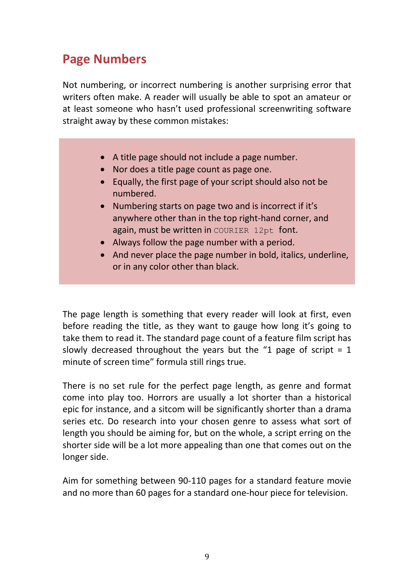### **Page Numbers**

Not numbering, or incorrect numbering is another surprising error that writers often make. A reader will usually be able to spot an amateur or at least someone who hasn't used professional screenwriting software straight away by these common mistakes:

- A title page should not include a page number.
- Nor does a title page count as page one.
- Equally, the first page of your script should also not be numbered.
- Numbering starts on page two and is incorrect if it's anywhere other than in the top right-hand corner, and again, must be written in COURIER 12pt font.
- Always follow the page number with a period.
- And never place the page number in bold, italics, underline, or in any color other than black.

The page length is something that every reader will look at first, even before reading the title, as they want to gauge how long it's going to take them to read it. The standard page count of a feature film script has slowly decreased throughout the years but the "1 page of script  $= 1$ minute of screen time" formula still rings true.

There is no set rule for the perfect page length, as genre and format come into play too. Horrors are usually a lot shorter than a historical epic for instance, and a sitcom will be significantly shorter than a drama series etc. Do research into your chosen genre to assess what sort of length you should be aiming for, but on the whole, a script erring on the shorter side will be a lot more appealing than one that comes out on the longer side.

Aim for something between 90-110 pages for a standard feature movie and no more than 60 pages for a standard one-hour piece for television.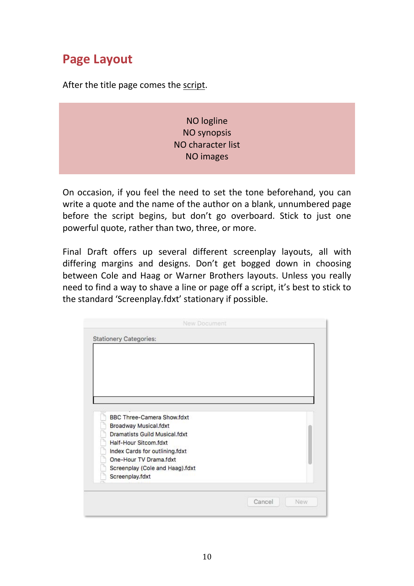### **Page Layout**

After the title page comes the script.

NO logline NO synopsis NO character list NO images

On occasion, if you feel the need to set the tone beforehand, you can write a quote and the name of the author on a blank, unnumbered page before the script begins, but don't go overboard. Stick to just one powerful quote, rather than two, three, or more.

Final Draft offers up several different screenplay layouts, all with differing margins and designs. Don't get bogged down in choosing between Cole and Haag or Warner Brothers layouts. Unless you really need to find a way to shave a line or page off a script, it's best to stick to the standard 'Screenplay.fdxt' stationary if possible.

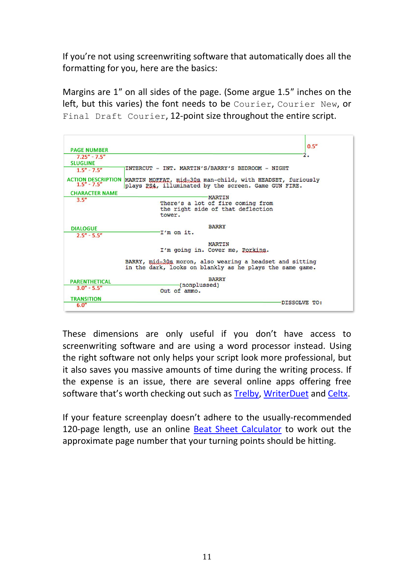If you're not using screenwriting software that automatically does all the formatting for you, here are the basics:

Margins are 1″ on all sides of the page. (Some argue 1.5″ inches on the left, but this varies) the font needs to be Courier, Courier New, or Final Draft Courier, 12-point size throughout the entire script.

 $0.5''$ **PAGE NUMBER**  $7.25" - 7.5$ **SLUGLINE** INTERCUT - INT. MARTIN'S/BARRY'S BEDROOM - NIGHT  $1.5'' - 7.5''$ ACTION DESCRIPTION MARTIN MOETAT, mid=30s man-child, with HEADSET, furiously 1.5" - 7.5" plays PS4, illuminated by the screen, Game GUN FIRE. plays PS4, illuminated by the screen. Game GUN FIRE. **CHARACTER NAME** -MARTIN  $3.5''$ There's a lot of fire coming from the right side of that deflection tower. **BARRY DIALOGUE** -I'm on it.  $2.5'' - 5.5''$ **MARTIN** I'm going in. Cover me, Porkins. BARRY, mid-30s moron, also wearing a headset and sitting in the dark, looks on blankly as he plays the same game. **BARRY PARENTHETICAL** (nonplussed)  $3.0'' - 5.5$ Out of ammo. **TRANSITION** DISSOLVE TO:  $6.0$ 

These dimensions are only useful if you don't have access to screenwriting software and are using a word processor instead. Using the right software not only helps your script look more professional, but it also saves you massive amounts of time during the writing process. If the expense is an issue, there are several online apps offering free software that's worth checking out such as [Trelby,](http://www.trelby.org/) [WriterDuet](https://screencraft.org/writerduet/) and [Celtx.](https://www.celtx.com/index.html)

If your feature screenplay doesn't adhere to the usually-recommended 120-page length, use an online **Beat Sheet Calculator** to work out the approximate page number that your turning points should be hitting.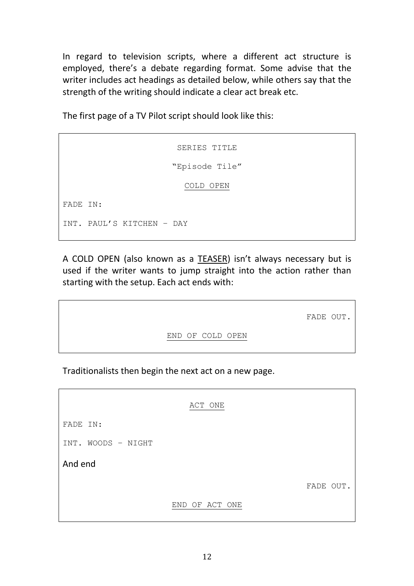In regard to television scripts, where a different act structure is employed, there's a debate regarding format. Some advise that the writer includes act headings as detailed below, while others say that the strength of the writing should indicate a clear act break etc.

The first page of a TV Pilot script should look like this:

SERIES TITLE "Episode Tile" COLD OPEN FADE IN: INT. PAUL'S KITCHEN – DAY

A COLD OPEN (also known as a TEASER) isn't always necessary but is used if the writer wants to jump straight into the action rather than starting with the setup. Each act ends with:

FADE OUT.

END OF COLD OPEN

Traditionalists then begin the next act on a new page.

|                    | ACT ONE        |           |
|--------------------|----------------|-----------|
| FADE IN:           |                |           |
| INT. WOODS - NIGHT |                |           |
| And end            |                |           |
|                    |                | FADE OUT. |
|                    | END OF ACT ONE |           |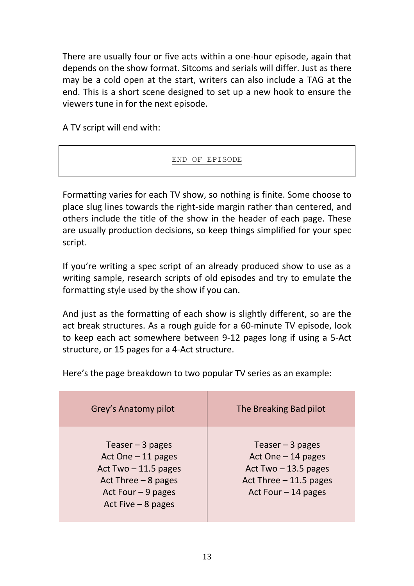There are usually four or five acts within a one-hour episode, again that depends on the show format. Sitcoms and serials will differ. Just as there may be a cold open at the start, writers can also include a TAG at the end. This is a short scene designed to set up a new hook to ensure the viewers tune in for the next episode.

A TV script will end with:

#### END OF EPISODE

Formatting varies for each TV show, so nothing is finite. Some choose to place slug lines towards the right-side margin rather than centered, and others include the title of the show in the header of each page. These are usually production decisions, so keep things simplified for your spec script.

If you're writing a spec script of an already produced show to use as a writing sample, research scripts of old episodes and try to emulate the formatting style used by the show if you can.

And just as the formatting of each show is slightly different, so are the act break structures. As a rough guide for a 60-minute TV episode, look to keep each act somewhere between 9-12 pages long if using a 5-Act structure, or 15 pages for a 4-Act structure.

Here's the page breakdown to two popular TV series as an example:

| Grey's Anatomy pilot                                                                                                                    | The Breaking Bad pilot                                                                                              |
|-----------------------------------------------------------------------------------------------------------------------------------------|---------------------------------------------------------------------------------------------------------------------|
| Teaser $-3$ pages<br>Act One $-11$ pages<br>Act Two $-11.5$ pages<br>Act Three $-8$ pages<br>Act Four $-9$ pages<br>Act Five $-8$ pages | Teaser $-3$ pages<br>Act One - 14 pages<br>Act Two $-13.5$ pages<br>Act Three $-11.5$ pages<br>Act Four $-14$ pages |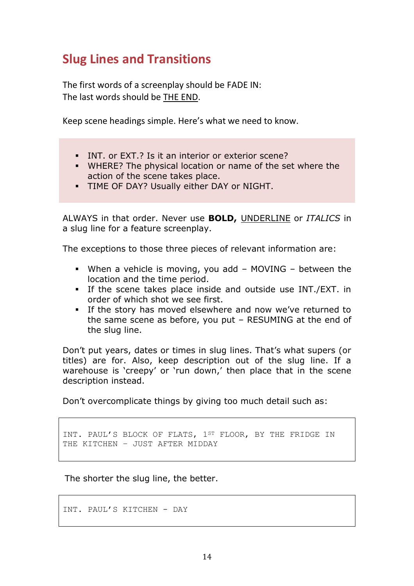### **Slug Lines and Transitions**

The first words of a screenplay should be FADE IN: The last words should be THE END.

Keep scene headings simple. Here's what we need to know.

- INT. or EXT.? Is it an interior or exterior scene?
- WHERE? The physical location or name of the set where the action of the scene takes place.
- TIME OF DAY? Usually either DAY or NIGHT.

ALWAYS in that order. Never use **BOLD,** UNDERLINE or *ITALICS* in a slug line for a feature screenplay.

The exceptions to those three pieces of relevant information are:

- When a vehicle is moving, you add MOVING between the location and the time period.
- If the scene takes place inside and outside use INT./EXT. in order of which shot we see first.
- **.** If the story has moved elsewhere and now we've returned to the same scene as before, you put – RESUMING at the end of the slug line.

Don't put years, dates or times in slug lines. That's what supers (or titles) are for. Also, keep description out of the slug line. If a warehouse is 'creepy' or 'run down,' then place that in the scene description instead.

Don't overcomplicate things by giving too much detail such as:

INT. PAUL'S BLOCK OF FLATS, 1ST FLOOR, BY THE FRIDGE IN THE KITCHEN – JUST AFTER MIDDAY

The shorter the slug line, the better.

INT. PAUL'S KITCHEN - DAY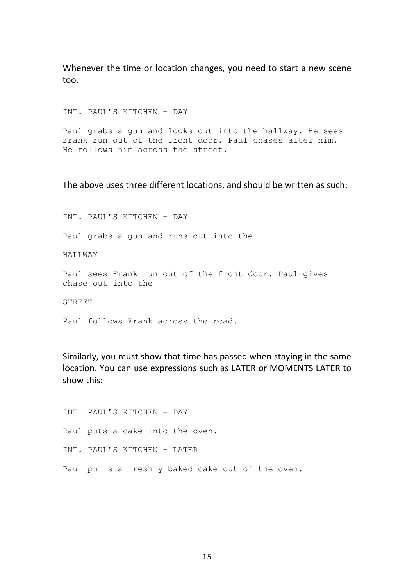Whenever the time or location changes, you need to start a new scene too.

INT. PAUL'S KITCHEN – DAY

Paul grabs a gun and looks out into the hallway. He sees Frank run out of the front door. Paul chases after him. He follows him across the street.

The above uses three different locations, and should be written as such:

INT. PAUL'S KITCHEN – DAY Paul grabs a gun and runs out into the HALLWAY Paul sees Frank run out of the front door. Paul gives chase out into the STREET Paul follows Frank across the road.

Similarly, you must show that time has passed when staying in the same location. You can use expressions such as LATER or MOMENTS LATER to show this:

```
INT. PAUL'S KITCHEN – DAY
Paul puts a cake into the oven.
INT. PAUL'S KITCHEN – LATER
Paul pulls a freshly baked cake out of the oven.
```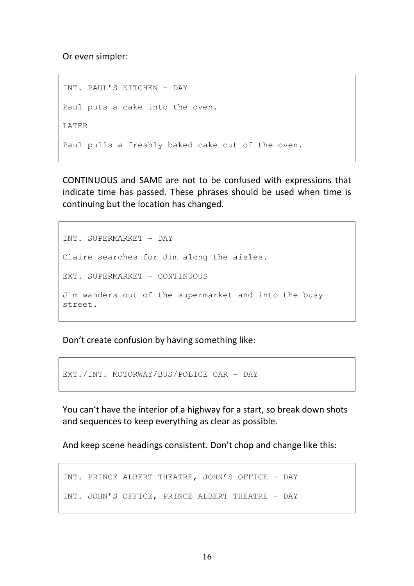Or even simpler:

```
INT. PAUL'S KITCHEN – DAY
Paul puts a cake into the oven.
LATER
Paul pulls a freshly baked cake out of the oven.
```
CONTINUOUS and SAME are not to be confused with expressions that indicate time has passed. These phrases should be used when time is continuing but the location has changed.

```
INT. SUPERMARKET - DAY
Claire searches for Jim along the aisles. 
EXT. SUPERMARKET – CONTINUOUS
Jim wanders out of the supermarket and into the busy 
street.
```
Don't create confusion by having something like:

EXT./INT. MOTORWAY/BUS/POLICE CAR - DAY

You can't have the interior of a highway for a start, so break down shots and sequences to keep everything as clear as possible.

And keep scene headings consistent. Don't chop and change like this:

```
INT. PRINCE ALBERT THEATRE, JOHN'S OFFICE – DAY
INT. JOHN'S OFFICE, PRINCE ALBERT THEATRE – DAY
```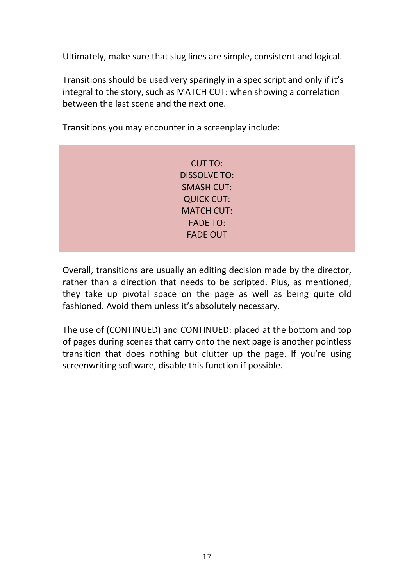Ultimately, make sure that slug lines are simple, consistent and logical.

Transitions should be used very sparingly in a spec script and only if it's integral to the story, such as MATCH CUT: when showing a correlation between the last scene and the next one.

CUT TO: DISSOLVE TO: SMASH CUT: QUICK CUT: MATCH CUT: FADE TO: FADE OUT

Transitions you may encounter in a screenplay include:

Overall, transitions are usually an editing decision made by the director, rather than a direction that needs to be scripted. Plus, as mentioned, they take up pivotal space on the page as well as being quite old fashioned. Avoid them unless it's absolutely necessary.

The use of (CONTINUED) and CONTINUED: placed at the bottom and top of pages during scenes that carry onto the next page is another pointless transition that does nothing but clutter up the page. If you're using screenwriting software, disable this function if possible.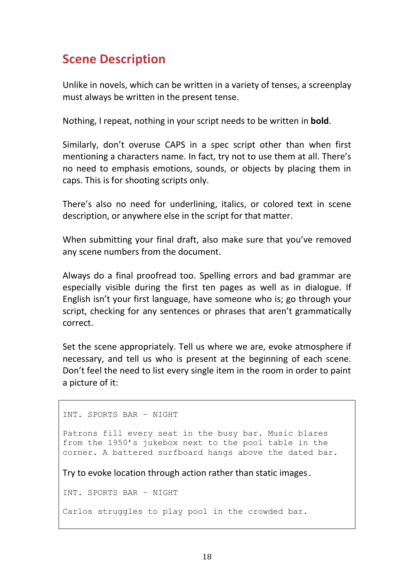### **Scene Description**

Unlike in novels, which can be written in a variety of tenses, a screenplay must always be written in the present tense.

Nothing, I repeat, nothing in your script needs to be written in **bold**.

Similarly, don't overuse CAPS in a spec script other than when first mentioning a characters name. In fact, try not to use them at all. There's no need to emphasis emotions, sounds, or objects by placing them in caps. This is for shooting scripts only.

There's also no need for underlining, italics, or colored text in scene description, or anywhere else in the script for that matter.

When submitting your final draft, also make sure that you've removed any scene numbers from the document.

Always do a final proofread too. Spelling errors and bad grammar are especially visible during the first ten pages as well as in dialogue. If English isn't your first language, have someone who is; go through your script, checking for any sentences or phrases that aren't grammatically correct.

Set the scene appropriately. Tell us where we are, evoke atmosphere if necessary, and tell us who is present at the beginning of each scene. Don't feel the need to list every single item in the room in order to paint a picture of it:

INT. SPORTS BAR – NIGHT

Patrons fill every seat in the busy bar. Music blares from the 1950's jukebox next to the pool table in the corner. A battered surfboard hangs above the dated bar.

Try to evoke location through action rather than static images.

INT. SPORTS BAR – NIGHT

Carlos struggles to play pool in the crowded bar.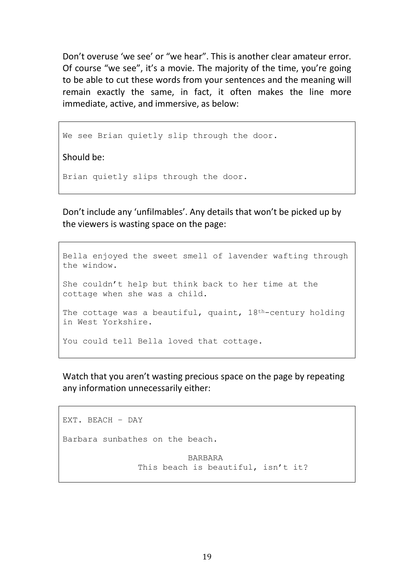Don't overuse 'we see' or "we hear". This is another clear amateur error. Of course "we see", it's a movie. The majority of the time, you're going to be able to cut these words from your sentences and the meaning will remain exactly the same, in fact, it often makes the line more immediate, active, and immersive, as below:

We see Brian quietly slip through the door.

Should be:

Brian quietly slips through the door.

Don't include any 'unfilmables'. Any details that won't be picked up by the viewers is wasting space on the page:

Bella enjoyed the sweet smell of lavender wafting through the window. She couldn't help but think back to her time at the cottage when she was a child. The cottage was a beautiful, quaint, 18<sup>th</sup>-century holding in West Yorkshire. You could tell Bella loved that cottage.

Watch that you aren't wasting precious space on the page by repeating any information unnecessarily either:

```
EXT. BEACH – DAY
Barbara sunbathes on the beach.
                         BARBARA
               This beach is beautiful, isn't it?
```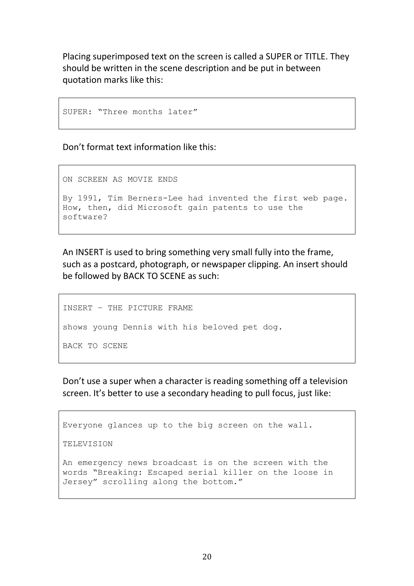Placing superimposed text on the screen is called a SUPER or TITLE. They should be written in the scene description and be put in between quotation marks like this:

```
SUPER: "Three months later"
```
Don't format text information like this:

ON SCREEN AS MOVIE ENDS

```
By 1991, Tim Berners-Lee had invented the first web page. 
How, then, did Microsoft gain patents to use the 
software?
```
An INSERT is used to bring something very small fully into the frame, such as a postcard, photograph, or newspaper clipping. An insert should be followed by BACK TO SCENE as such:

```
INSERT – THE PICTURE FRAME
shows young Dennis with his beloved pet dog.
BACK TO SCENE
```
Don't use a super when a character is reading something off a television screen. It's better to use a secondary heading to pull focus, just like:

```
Everyone glances up to the big screen on the wall. 
TELEVISION
An emergency news broadcast is on the screen with the 
words "Breaking: Escaped serial killer on the loose in 
Jersey" scrolling along the bottom."
```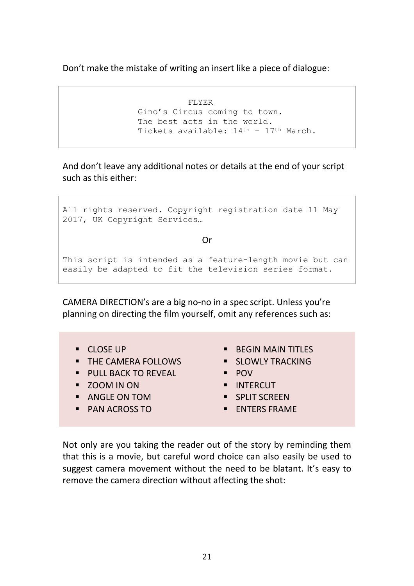Don't make the mistake of writing an insert like a piece of dialogue:

FLYER Gino's Circus coming to town. The best acts in the world. Tickets available: 14th – 17th March.

And don't leave any additional notes or details at the end of your script such as this either:

```
All rights reserved. Copyright registration date 11 May 
2017, UK Copyright Services…
                            Or
This script is intended as a feature-length movie but can 
easily be adapted to fit the television series format.
```
CAMERA DIRECTION's are a big no-no in a spec script. Unless you're planning on directing the film yourself, omit any references such as:

- CLOSE UP
- **E** THE CAMERA FOLLOWS
- PULL BACK TO REVEAL
- ZOOM IN ON
- ANGLE ON TOM
- PAN ACROSS TO
- **E** BEGIN MAIN TITLES
- **E** SLOWLY TRACKING
- POV
- INTERCUT
- **E** SPLIT SCREEN
- **ENTERS FRAME**

Not only are you taking the reader out of the story by reminding them that this is a movie, but careful word choice can also easily be used to suggest camera movement without the need to be blatant. It's easy to remove the camera direction without affecting the shot: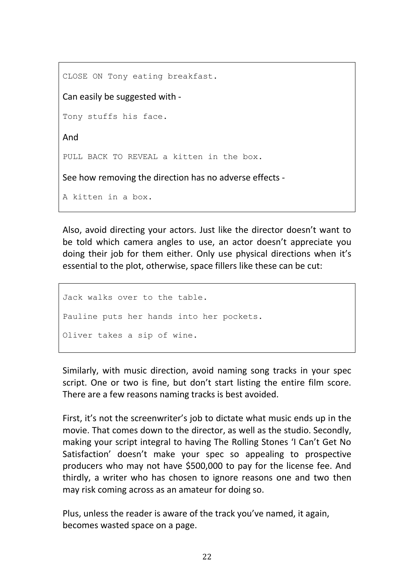CLOSE ON Tony eating breakfast. Can easily be suggested with - Tony stuffs his face. And PULL BACK TO REVEAL a kitten in the box. See how removing the direction has no adverse effects - A kitten in a box.

Also, avoid directing your actors. Just like the director doesn't want to be told which camera angles to use, an actor doesn't appreciate you doing their job for them either. Only use physical directions when it's essential to the plot, otherwise, space fillers like these can be cut:

Jack walks over to the table. Pauline puts her hands into her pockets. Oliver takes a sip of wine.

Similarly, with music direction, avoid naming song tracks in your spec script. One or two is fine, but don't start listing the entire film score. There are a few reasons naming tracks is best avoided.

First, it's not the screenwriter's job to dictate what music ends up in the movie. That comes down to the director, as well as the studio. Secondly, making your script integral to having The Rolling Stones 'I Can't Get No Satisfaction' doesn't make your spec so appealing to prospective producers who may not have \$500,000 to pay for the license fee. And thirdly, a writer who has chosen to ignore reasons one and two then may risk coming across as an amateur for doing so.

Plus, unless the reader is aware of the track you've named, it again, becomes wasted space on a page.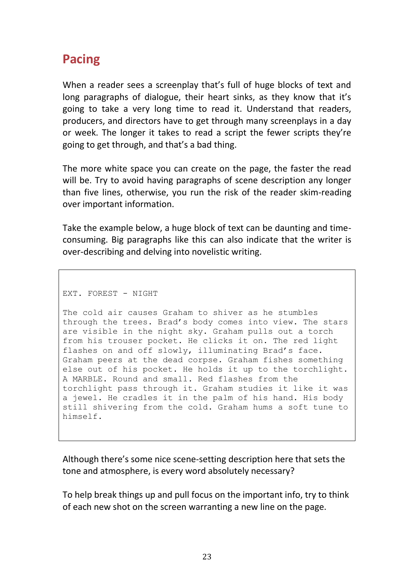### **Pacing**

When a reader sees a screenplay that's full of huge blocks of text and long paragraphs of dialogue, their heart sinks, as they know that it's going to take a very long time to read it. Understand that readers, producers, and directors have to get through many screenplays in a day or week. The longer it takes to read a script the fewer scripts they're going to get through, and that's a bad thing.

The more white space you can create on the page, the faster the read will be. Try to avoid having paragraphs of scene description any longer than five lines, otherwise, you run the risk of the reader skim-reading over important information.

Take the example below, a huge block of text can be daunting and timeconsuming. Big paragraphs like this can also indicate that the writer is over-describing and delving into novelistic writing.

EXT. FOREST - NIGHT

The cold air causes Graham to shiver as he stumbles through the trees. Brad's body comes into view. The stars are visible in the night sky. Graham pulls out a torch from his trouser pocket. He clicks it on. The red light flashes on and off slowly, illuminating Brad's face. Graham peers at the dead corpse. Graham fishes something else out of his pocket. He holds it up to the torchlight. A MARBLE. Round and small. Red flashes from the torchlight pass through it. Graham studies it like it was a jewel. He cradles it in the palm of his hand. His body still shivering from the cold. Graham hums a soft tune to himself.

Although there's some nice scene-setting description here that sets the tone and atmosphere, is every word absolutely necessary?

To help break things up and pull focus on the important info, try to think of each new shot on the screen warranting a new line on the page.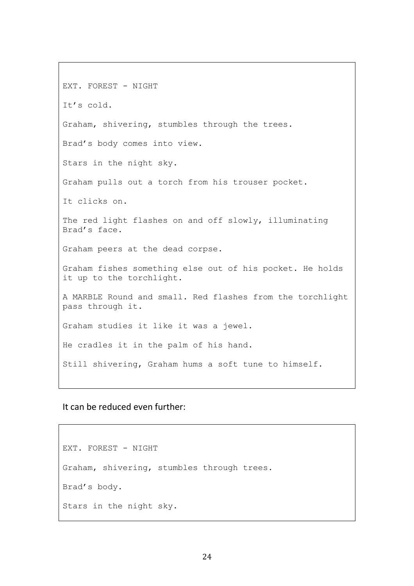EXT. FOREST - NIGHT It's cold. Graham, shivering, stumbles through the trees. Brad's body comes into view. Stars in the night sky. Graham pulls out a torch from his trouser pocket. It clicks on. The red light flashes on and off slowly, illuminating Brad's face. Graham peers at the dead corpse. Graham fishes something else out of his pocket. He holds it up to the torchlight. A MARBLE Round and small. Red flashes from the torchlight pass through it. Graham studies it like it was a jewel. He cradles it in the palm of his hand. Still shivering, Graham hums a soft tune to himself.

It can be reduced even further:

EXT. FOREST - NIGHT Graham, shivering, stumbles through trees. Brad's body. Stars in the night sky.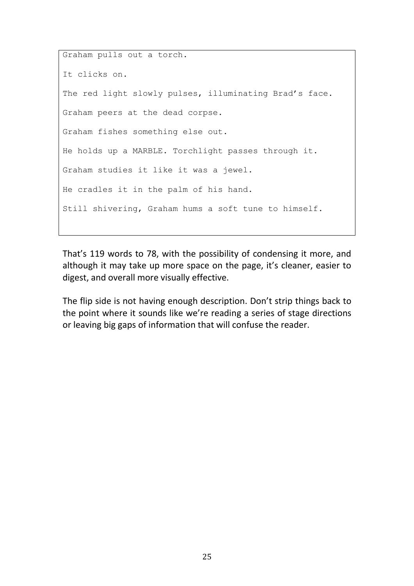Graham pulls out a torch. It clicks on. The red light slowly pulses, illuminating Brad's face. Graham peers at the dead corpse. Graham fishes something else out. He holds up a MARBLE. Torchlight passes through it. Graham studies it like it was a jewel. He cradles it in the palm of his hand. Still shivering, Graham hums a soft tune to himself.

That's 119 words to 78, with the possibility of condensing it more, and although it may take up more space on the page, it's cleaner, easier to digest, and overall more visually effective.

The flip side is not having enough description. Don't strip things back to the point where it sounds like we're reading a series of stage directions or leaving big gaps of information that will confuse the reader.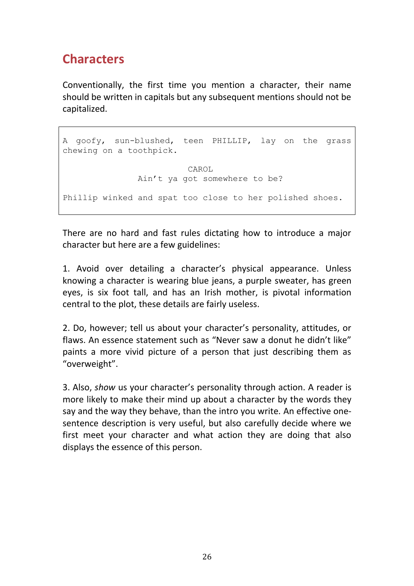### **Characters**

Conventionally, the first time you mention a character, their name should be written in capitals but any subsequent mentions should not be capitalized.

```
A goofy, sun-blushed, teen PHILLIP, lay on the grass 
chewing on a toothpick. 
                        CAROL
              Ain't ya got somewhere to be?
Phillip winked and spat too close to her polished shoes.
```
There are no hard and fast rules dictating how to introduce a major character but here are a few guidelines:

1. Avoid over detailing a character's physical appearance. Unless knowing a character is wearing blue jeans, a purple sweater, has green eyes, is six foot tall, and has an Irish mother, is pivotal information central to the plot, these details are fairly useless.

2. Do, however; tell us about your character's personality, attitudes, or flaws. An essence statement such as "Never saw a donut he didn't like" paints a more vivid picture of a person that just describing them as "overweight".

3. Also, *show* us your character's personality through action. A reader is more likely to make their mind up about a character by the words they say and the way they behave, than the intro you write. An effective onesentence description is very useful, but also carefully decide where we first meet your character and what action they are doing that also displays the essence of this person.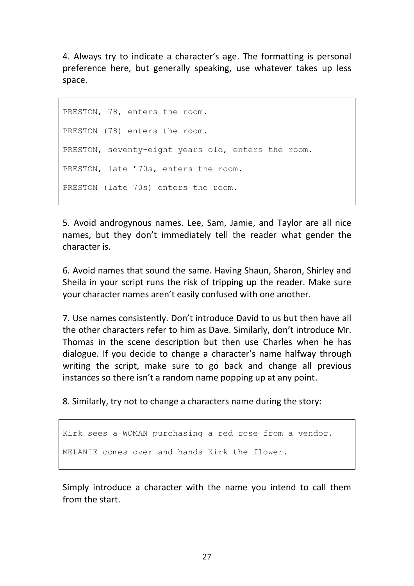4. Always try to indicate a character's age. The formatting is personal preference here, but generally speaking, use whatever takes up less space.

PRESTON, 78, enters the room. PRESTON (78) enters the room. PRESTON, seventy-eight years old, enters the room. PRESTON, late '70s, enters the room. PRESTON (late 70s) enters the room.

5. Avoid androgynous names. Lee, Sam, Jamie, and Taylor are all nice names, but they don't immediately tell the reader what gender the character is.

6. Avoid names that sound the same. Having Shaun, Sharon, Shirley and Sheila in your script runs the risk of tripping up the reader. Make sure your character names aren't easily confused with one another.

7. Use names consistently. Don't introduce David to us but then have all the other characters refer to him as Dave. Similarly, don't introduce Mr. Thomas in the scene description but then use Charles when he has dialogue. If you decide to change a character's name halfway through writing the script, make sure to go back and change all previous instances so there isn't a random name popping up at any point.

8. Similarly, try not to change a characters name during the story:

Kirk sees a WOMAN purchasing a red rose from a vendor. MELANIE comes over and hands Kirk the flower.

Simply introduce a character with the name you intend to call them from the start.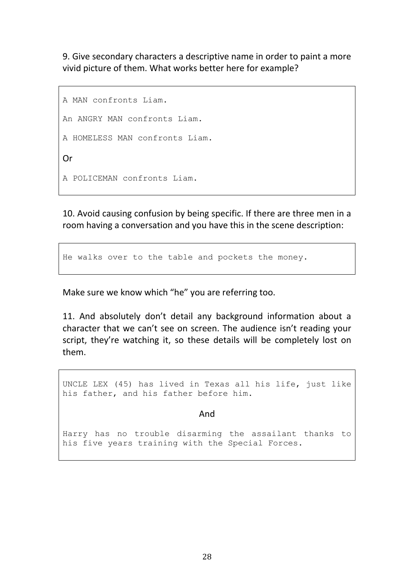9. Give secondary characters a descriptive name in order to paint a more vivid picture of them. What works better here for example?

```
A MAN confronts Liam.
An ANGRY MAN confronts Liam.
A HOMELESS MAN confronts Liam.
Or
A POLICEMAN confronts Liam.
```
10. Avoid causing confusion by being specific. If there are three men in a room having a conversation and you have this in the scene description:

He walks over to the table and pockets the money.

Make sure we know which "he" you are referring too.

11. And absolutely don't detail any background information about a character that we can't see on screen. The audience isn't reading your script, they're watching it, so these details will be completely lost on them.

UNCLE LEX (45) has lived in Texas all his life, just like his father, and his father before him.

And

Harry has no trouble disarming the assailant thanks to his five years training with the Special Forces.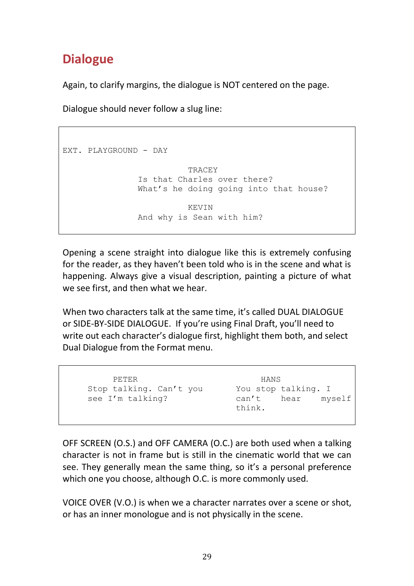### **Dialogue**

Again, to clarify margins, the dialogue is NOT centered on the page.

Dialogue should never follow a slug line:

```
EXT. PLAYGROUND - DAY 
                         TRACEY
               Is that Charles over there? 
               What's he doing going into that house?
                         KEVIN
               And why is Sean with him?
```
Opening a scene straight into dialogue like this is extremely confusing for the reader, as they haven't been told who is in the scene and what is happening. Always give a visual description, painting a picture of what we see first, and then what we hear.

When two characters talk at the same time, it's called DUAL DIALOGUE or SIDE-BY-SIDE DIALOGUE. If you're using Final Draft, you'll need to write out each character's dialogue first, highlight them both, and select Dual Dialogue from the Format menu.

```
PETER 
Stop talking. Can't you 
see I'm talking? 
                                 HANS
                           You stop talking. I
                            can't hear myself 
                            think.
```
OFF SCREEN (O.S.) and OFF CAMERA (O.C.) are both used when a talking character is not in frame but is still in the cinematic world that we can see. They generally mean the same thing, so it's a personal preference which one you choose, although O.C. is more commonly used.

VOICE OVER (V.O.) is when we a character narrates over a scene or shot, or has an inner monologue and is not physically in the scene.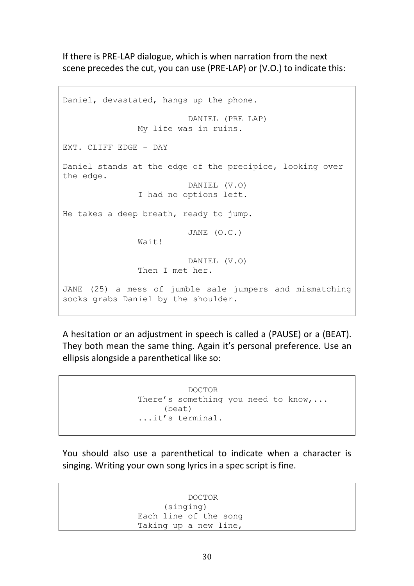If there is PRE-LAP dialogue, which is when narration from the next scene precedes the cut, you can use (PRE-LAP) or (V.O.) to indicate this:

Daniel, devastated, hangs up the phone. DANIEL (PRE LAP) My life was in ruins. EXT. CLIFF EDGE – DAY Daniel stands at the edge of the precipice, looking over the edge. DANIEL (V.O) I had no options left. He takes a deep breath, ready to jump. JANE (O.C.) Wait! DANIEL (V.O) Then I met her. JANE (25) a mess of jumble sale jumpers and mismatching socks grabs Daniel by the shoulder.

A hesitation or an adjustment in speech is called a (PAUSE) or a (BEAT). They both mean the same thing. Again it's personal preference. Use an ellipsis alongside a parenthetical like so:

> DOCTOR There's something you need to know, ... (beat) ...it's terminal.

You should also use a parenthetical to indicate when a character is singing. Writing your own song lyrics in a spec script is fine.

> DOCTOR (singing) Each line of the song Taking up a new line,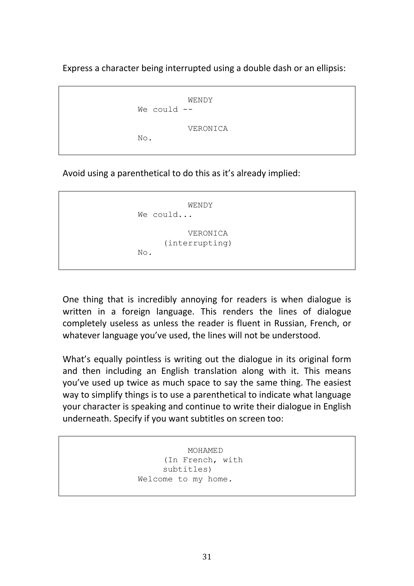Express a character being interrupted using a double dash or an ellipsis:

WENDY We could --VERONICA No.

Avoid using a parenthetical to do this as it's already implied:

```
WENDY
We could...
          VERONICA
     (interrupting)
No.
```
One thing that is incredibly annoying for readers is when dialogue is written in a foreign language. This renders the lines of dialogue completely useless as unless the reader is fluent in Russian, French, or whatever language you've used, the lines will not be understood.

What's equally pointless is writing out the dialogue in its original form and then including an English translation along with it. This means you've used up twice as much space to say the same thing. The easiest way to simplify things is to use a parenthetical to indicate what language your character is speaking and continue to write their dialogue in English underneath. Specify if you want subtitles on screen too:

> MOHAMED (In French, with subtitles) Welcome to my home.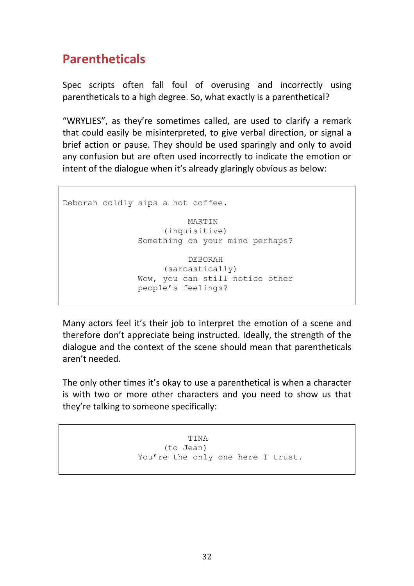### **Parentheticals**

Spec scripts often fall foul of overusing and incorrectly using parentheticals to a high degree. So, what exactly is a parenthetical?

"WRYLIES", as they're sometimes called, are used to clarify a remark that could easily be misinterpreted, to give verbal direction, or signal a brief action or pause. They should be used sparingly and only to avoid any confusion but are often used incorrectly to indicate the emotion or intent of the dialogue when it's already glaringly obvious as below:

Deborah coldly sips a hot coffee. MARTIN (inquisitive) Something on your mind perhaps? DEBORAH (sarcastically) Wow, you can still notice other people's feelings?

Many actors feel it's their job to interpret the emotion of a scene and therefore don't appreciate being instructed. Ideally, the strength of the dialogue and the context of the scene should mean that parentheticals aren't needed.

The only other times it's okay to use a parenthetical is when a character is with two or more other characters and you need to show us that they're talking to someone specifically:

> TINA (to Jean) You're the only one here I trust.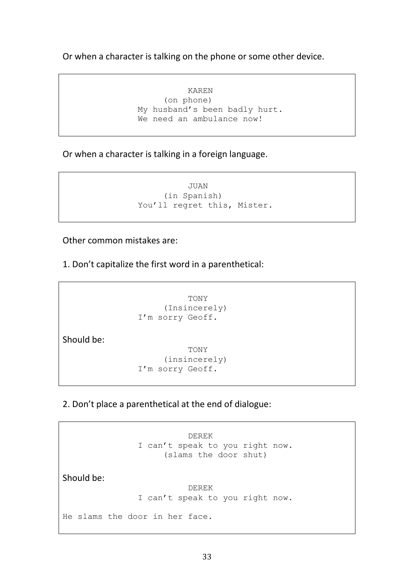Or when a character is talking on the phone or some other device.

KAREN (on phone) My husband's been badly hurt. We need an ambulance now!

Or when a character is talking in a foreign language.

JUAN (in Spanish) You'll regret this, Mister.

Other common mistakes are:

1. Don't capitalize the first word in a parenthetical:

TONY (Insincerely) I'm sorry Geoff.

Should be:

TONY (insincerely) I'm sorry Geoff.

2. Don't place a parenthetical at the end of dialogue:

DEREK I can't speak to you right now. (slams the door shut)

Should be:

DEREK I can't speak to you right now.

He slams the door in her face.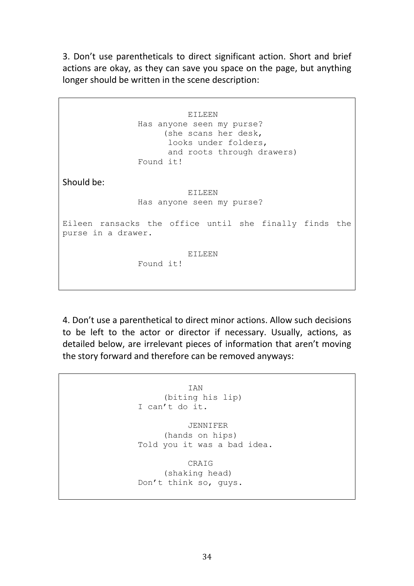3. Don't use parentheticals to direct significant action. Short and brief actions are okay, as they can save you space on the page, but anything longer should be written in the scene description:

EILEEN Has anyone seen my purse? (she scans her desk, looks under folders, and roots through drawers) Found it! Should be: EILEEN Has anyone seen my purse? Eileen ransacks the office until she finally finds the purse in a drawer. EILEEN Found it!

4. Don't use a parenthetical to direct minor actions. Allow such decisions to be left to the actor or director if necessary. Usually, actions, as detailed below, are irrelevant pieces of information that aren't moving the story forward and therefore can be removed anyways:

IAN (biting his lip) I can't do it. JENNIFER (hands on hips) Told you it was a bad idea. CRAIG (shaking head) Don't think so, guys.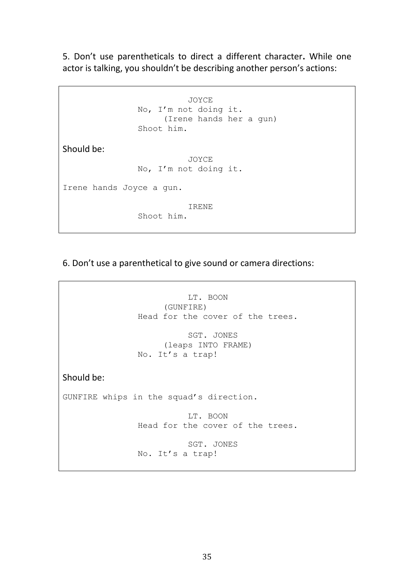5. Don't use parentheticals to direct a different character**.** While one actor is talking, you shouldn't be describing another person's actions:

JOYCE No, I'm not doing it. (Irene hands her a gun) Shoot him. Should be: JOYCE No, I'm not doing it. Irene hands Joyce a gun. IRENE Shoot him.

6. Don't use a parenthetical to give sound or camera directions:

```
LT. BOON
                    (GUNFIRE)
               Head for the cover of the trees.
                         SGT. JONES
                    (leaps INTO FRAME)
               No. It's a trap!
Should be:
GUNFIRE whips in the squad's direction.
                         LT. BOON
               Head for the cover of the trees.
                         SGT. JONES
               No. It's a trap!
```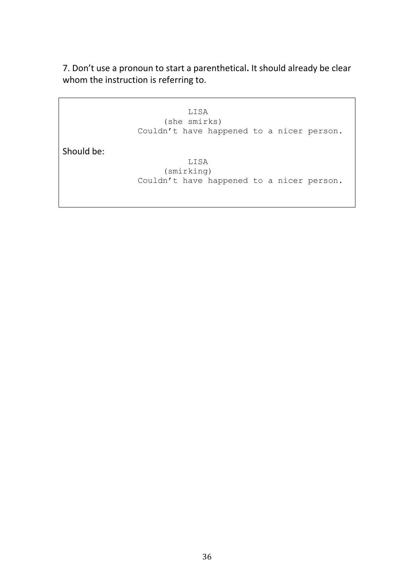7. Don't use a pronoun to start a parenthetical**.** It should already be clear whom the instruction is referring to.

> LISA (she smirks) Couldn't have happened to a nicer person.

Should be:

LISA (smirking) Couldn't have happened to a nicer person.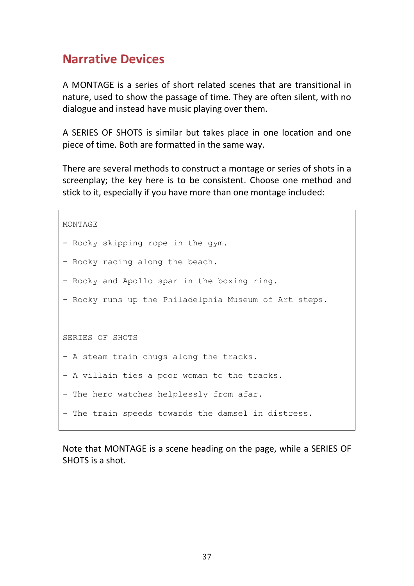### **Narrative Devices**

A MONTAGE is a series of short related scenes that are transitional in nature, used to show the passage of time. They are often silent, with no dialogue and instead have music playing over them.

A SERIES OF SHOTS is similar but takes place in one location and one piece of time. Both are formatted in the same way.

There are several methods to construct a montage or series of shots in a screenplay; the key here is to be consistent. Choose one method and stick to it, especially if you have more than one montage included:

```
MONTAGE
- Rocky skipping rope in the gym.
- Rocky racing along the beach.
- Rocky and Apollo spar in the boxing ring.
- Rocky runs up the Philadelphia Museum of Art steps.
SERIES OF SHOTS
- A steam train chugs along the tracks.
- A villain ties a poor woman to the tracks.
- The hero watches helplessly from afar.
- The train speeds towards the damsel in distress.
```
Note that MONTAGE is a scene heading on the page, while a SERIES OF SHOTS is a shot.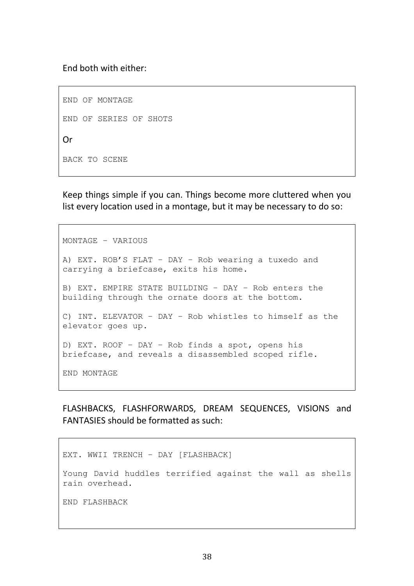End both with either:

END OF MONTAGE END OF SERIES OF SHOTS Or BACK TO SCENE

Keep things simple if you can. Things become more cluttered when you list every location used in a montage, but it may be necessary to do so:

MONTAGE – VARIOUS A) EXT. ROB'S FLAT – DAY – Rob wearing a tuxedo and carrying a briefcase, exits his home. B) EXT. EMPIRE STATE BUILDING – DAY – Rob enters the building through the ornate doors at the bottom. C) INT. ELEVATOR – DAY – Rob whistles to himself as the elevator goes up. D) EXT. ROOF – DAY – Rob finds a spot, opens his briefcase, and reveals a disassembled scoped rifle. END MONTAGE

FLASHBACKS, FLASHFORWARDS, DREAM SEQUENCES, VISIONS and FANTASIES should be formatted as such:

EXT. WWII TRENCH – DAY [FLASHBACK] Young David huddles terrified against the wall as shells rain overhead. END FLASHBACK